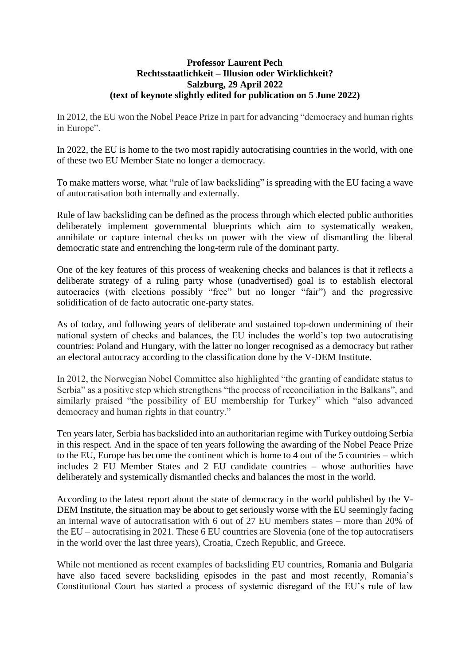## **Professor Laurent Pech Rechtsstaatlichkeit – Illusion oder Wirklichkeit? Salzburg, 29 April 2022 (text of keynote slightly edited for publication on 5 June 2022)**

In 2012, the EU won the Nobel Peace Prize in part for advancing "democracy and human rights in Europe".

In 2022, the EU is home to the two most rapidly autocratising countries in the world, with one of these two EU Member State no longer a democracy.

To make matters worse, what "rule of law backsliding" is spreading with the EU facing a wave of autocratisation both internally and externally.

Rule of law backsliding can be defined as the process through which elected public authorities deliberately implement governmental blueprints which aim to systematically weaken, annihilate or capture internal checks on power with the view of dismantling the liberal democratic state and entrenching the long-term rule of the dominant party.

One of the key features of this process of weakening checks and balances is that it reflects a deliberate strategy of a ruling party whose (unadvertised) goal is to establish electoral autocracies (with elections possibly "free" but no longer "fair") and the progressive solidification of de facto autocratic one-party states.

As of today, and following years of deliberate and sustained top-down undermining of their national system of checks and balances, the EU includes the world's top two autocratising countries: Poland and Hungary, with the latter no longer recognised as a democracy but rather an electoral autocracy according to the classification done by the V-DEM Institute.

In 2012, the Norwegian Nobel Committee also highlighted "the granting of candidate status to Serbia" as a positive step which strengthens "the process of reconciliation in the Balkans", and similarly praised "the possibility of EU membership for Turkey" which "also advanced democracy and human rights in that country."

Ten years later, Serbia has backslided into an authoritarian regime with Turkey outdoing Serbia in this respect. And in the space of ten years following the awarding of the Nobel Peace Prize to the EU, Europe has become the continent which is home to 4 out of the 5 countries – which includes 2 EU Member States and 2 EU candidate countries – whose authorities have deliberately and systemically dismantled checks and balances the most in the world.

According to the latest report about the state of democracy in the world published by the V-DEM Institute, the situation may be about to get seriously worse with the EU seemingly facing an internal wave of autocratisation with 6 out of 27 EU members states – more than 20% of the EU – autocratising in 2021. These 6 EU countries are Slovenia (one of the top autocratisers in the world over the last three years), Croatia, Czech Republic, and Greece.

While not mentioned as recent examples of backsliding EU countries, Romania and Bulgaria have also faced severe backsliding episodes in the past and most recently, Romania's Constitutional Court has started a process of systemic disregard of the EU's rule of law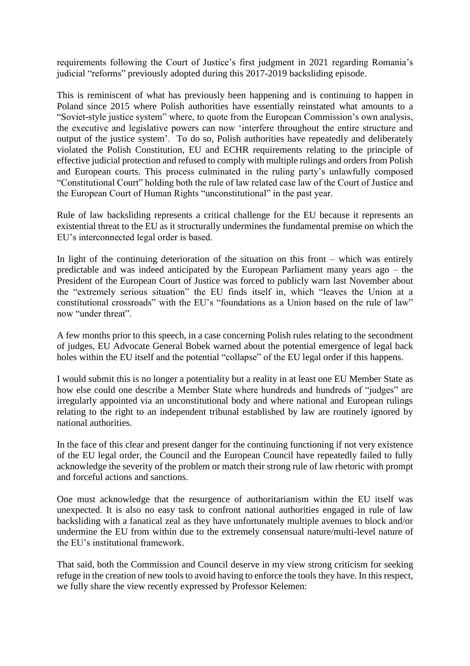requirements following the Court of Justice's first judgment in 2021 regarding Romania's judicial "reforms" previously adopted during this 2017-2019 backsliding episode.

This is reminiscent of what has previously been happening and is continuing to happen in Poland since 2015 where Polish authorities have essentially reinstated what amounts to a "Soviet-style justice system" where, to quote from the European Commission's own analysis, the executive and legislative powers can now 'interfere throughout the entire structure and output of the justice system'. To do so, Polish authorities have repeatedly and deliberately violated the Polish Constitution, EU and ECHR requirements relating to the principle of effective judicial protection and refused to comply with multiple rulings and orders from Polish and European courts. This process culminated in the ruling party's unlawfully composed "Constitutional Court" holding both the rule of law related case law of the Court of Justice and the European Court of Human Rights "unconstitutional" in the past year.

Rule of law backsliding represents a critical challenge for the EU because it represents an existential threat to the EU as it structurally undermines the fundamental premise on which the EU's interconnected legal order is based.

In light of the continuing deterioration of the situation on this front – which was entirely predictable and was indeed anticipated by the European Parliament many years ago – the President of the European Court of Justice was forced to publicly warn last November about the "extremely serious situation" the EU finds itself in, which "leaves the Union at a constitutional crossroads" with the EU's "foundations as a Union based on the rule of law" now "under threat".

A few months prior to this speech, in a case concerning Polish rules relating to the secondment of judges, EU Advocate General Bobek warned about the potential emergence of legal back holes within the EU itself and the potential "collapse" of the EU legal order if this happens.

I would submit this is no longer a potentiality but a reality in at least one EU Member State as how else could one describe a Member State where hundreds and hundreds of "judges" are irregularly appointed via an unconstitutional body and where national and European rulings relating to the right to an independent tribunal established by law are routinely ignored by national authorities.

In the face of this clear and present danger for the continuing functioning if not very existence of the EU legal order, the Council and the European Council have repeatedly failed to fully acknowledge the severity of the problem or match their strong rule of law rhetoric with prompt and forceful actions and sanctions.

One must acknowledge that the resurgence of authoritarianism within the EU itself was unexpected. It is also no easy task to confront national authorities engaged in rule of law backsliding with a fanatical zeal as they have unfortunately multiple avenues to block and/or undermine the EU from within due to the extremely consensual nature/multi-level nature of the EU's institutional framework.

That said, both the Commission and Council deserve in my view strong criticism for seeking refuge in the creation of new tools to avoid having to enforce the tools they have. In this respect, we fully share the view recently expressed by Professor Kelemen: